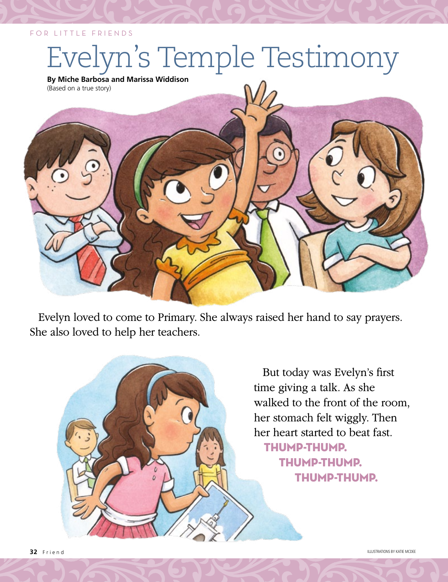## FOR LITTLE FRIENDS

## yn's Temple Testimony

**By Miche Barbosa and Marissa Widdison** (Based on a true story)



Evelyn loved to come to Primary. She always raised her hand to say prayers. She also loved to help her teachers.

> But today was Evelyn's first time giving a talk. As she walked to the front of the room, her stomach felt wiggly. Then her heart started to beat fast. Thump-thump. Thump-thump. Thump-thump.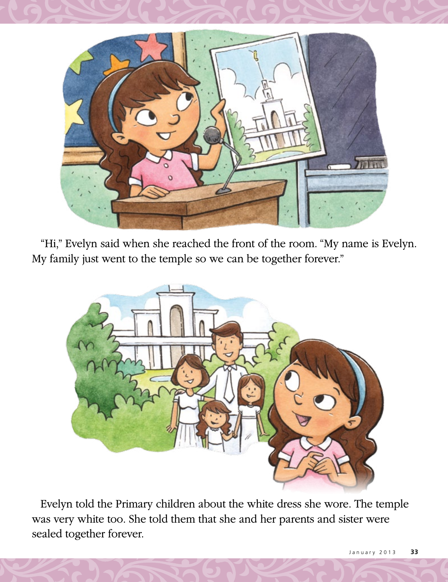

"Hi," Evelyn said when she reached the front of the room. "My name is Evelyn. My family just went to the temple so we can be together forever."

![](_page_1_Picture_2.jpeg)

Evelyn told the Primary children about the white dress she wore. The temple was very white too. She told them that she and her parents and sister were sealed together forever.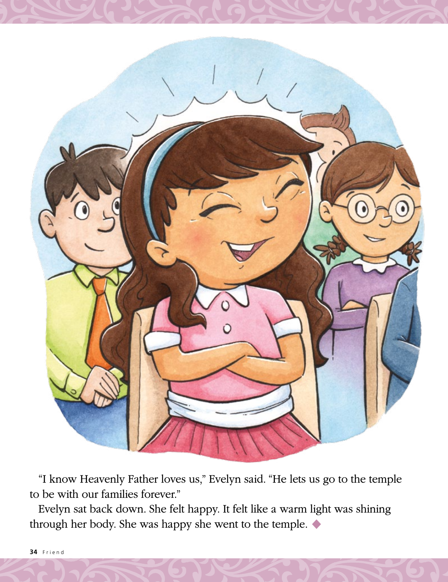![](_page_2_Picture_0.jpeg)

"I know Heavenly Father loves us," Evelyn said. "He lets us go to the temple to be with our families forever."

Evelyn sat back down. She felt happy. It felt like a warm light was shining through her body. She was happy she went to the temple. ◆